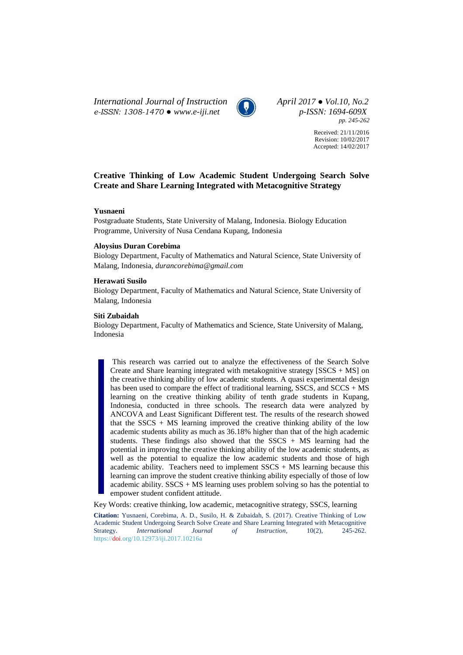*International Journal of Instruction April 2017 ● Vol.10, No.2 e-ISSN: 1308-1470 ● www.e-iji.net p-ISSN: 1694-609X*



*pp. 245-262*

Received: 21/11/2016 Revision: 10/02/2017 Accepted: 14/02/2017

# **Creative Thinking of Low Academic Student Undergoing Search Solve Create and Share Learning Integrated with Metacognitive Strategy**

## **Yusnaeni**

Postgraduate Students, State University of Malang, Indonesia. Biology Education Programme, University of Nusa Cendana Kupang, Indonesia

## **Aloysius Duran Corebima**

Biology Department, Faculty of Mathematics and Natural Science, State University of Malang, Indonesia, *durancorebima@gmail.com*

#### **Herawati Susilo**

Biology Department, Faculty of Mathematics and Natural Science, State University of Malang, Indonesia

#### **Siti Zubaidah**

Biology Department, Faculty of Mathematics and Science, State University of Malang, Indonesia

This research was carried out to analyze the effectiveness of the Search Solve Create and Share learning integrated with metakognitive strategy  $[SSCS + MS]$  on the creative thinking ability of low academic students. A quasi experimental design has been used to compare the effect of traditional learning, SSCS, and SCCS + MS learning on the creative thinking ability of tenth grade students in Kupang, Indonesia, conducted in three schools. The research data were analyzed by ANCOVA and Least Significant Different test. The results of the research showed that the SSCS + MS learning improved the creative thinking ability of the low academic students ability as much as 36.18% higher than that of the high academic students. These findings also showed that the SSCS + MS learning had the potential in improving the creative thinking ability of the low academic students, as well as the potential to equalize the low academic students and those of high academic ability. Teachers need to implement  $SSCS + MS$  learning because this learning can improve the student creative thinking ability especially of those of low academic ability.  $SSCS + MS$  learning uses problem solving so has the potential to empower student confident attitude.

Key Words: creative thinking, low academic, metacognitive strategy, SSCS, learning

**Citation:** Yusnaeni, Corebima, A. D., Susilo, H. & Zubaidah, S. (2017). Creative Thinking of Low Academic Student Undergoing Search Solve Create and Share Learning Integrated with Metacognitive Strategy. *International Journal of Instruction*, 10(2), 245-262. https://doi.org/10.12973/iji.2017.10216a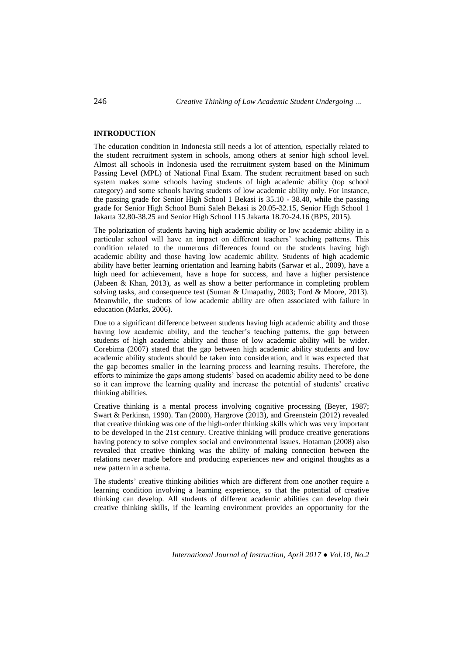## **INTRODUCTION**

The education condition in Indonesia still needs a lot of attention, especially related to the student recruitment system in schools, among others at senior high school level. Almost all schools in Indonesia used the recruitment system based on the Minimum Passing Level (MPL) of National Final Exam. The student recruitment based on such system makes some schools having students of high academic ability (top school category) and some schools having students of low academic ability only. For instance, the passing grade for Senior High School 1 Bekasi is 35.10 - 38.40, while the passing grade for Senior High School Bumi Saleh Bekasi is 20.05-32.15, Senior High School 1 Jakarta 32.80-38.25 and Senior High School 115 Jakarta 18.70-24.16 (BPS, 2015).

The polarization of students having high academic ability or low academic ability in a particular school will have an impact on different teachers' teaching patterns. This condition related to the numerous differences found on the students having high academic ability and those having low academic ability. Students of high academic ability have better learning orientation and learning habits (Sarwar et al., 2009), have a high need for achievement, have a hope for success, and have a higher persistence (Jabeen & Khan, 2013), as well as show a better performance in completing problem solving tasks, and consequence test (Suman & Umapathy, 2003; Ford & Moore, 2013). Meanwhile, the students of low academic ability are often associated with failure in education (Marks, 2006).

Due to a significant difference between students having high academic ability and those having low academic ability, and the teacher's teaching patterns, the gap between students of high academic ability and those of low academic ability will be wider. Corebima (2007) stated that the gap between high academic ability students and low academic ability students should be taken into consideration, and it was expected that the gap becomes smaller in the learning process and learning results. Therefore, the efforts to minimize the gaps among students' based on academic ability need to be done so it can improve the learning quality and increase the potential of students' creative thinking abilities.

Creative thinking is a mental process involving cognitive processing (Beyer, 1987; Swart & Perkinsn, 1990). Tan (2000), Hargrove (2013), and Greenstein (2012) revealed that creative thinking was one of the high-order thinking skills which was very important to be developed in the 21st century. Creative thinking will produce creative generations having potency to solve complex social and environmental issues. Hotaman (2008) also revealed that creative thinking was the ability of making connection between the relations never made before and producing experiences new and original thoughts as a new pattern in a schema.

The students' creative thinking abilities which are different from one another require a learning condition involving a learning experience, so that the potential of creative thinking can develop. All students of different academic abilities can develop their creative thinking skills, if the learning environment provides an opportunity for the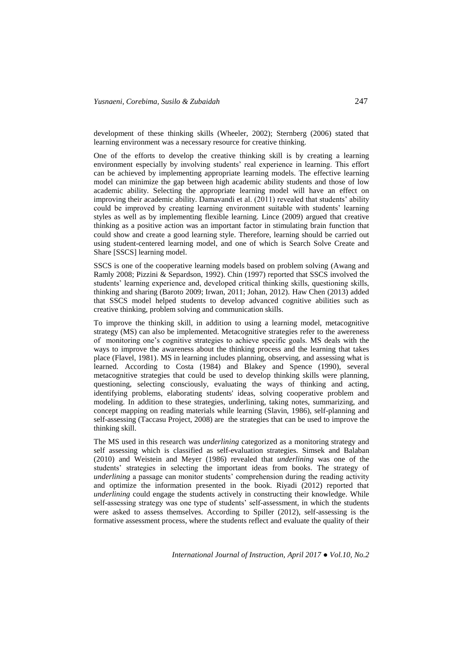development of these thinking skills (Wheeler, 2002); Sternberg (2006) stated that learning environment was a necessary resource for creative thinking.

One of the efforts to develop the creative thinking skill is by creating a learning environment especially by involving students' real experience in learning. This effort can be achieved by implementing appropriate learning models. The effective learning model can minimize the gap between high academic ability students and those of low academic ability. Selecting the appropriate learning model will have an effect on improving their academic ability. Damavandi et al. (2011) revealed that students' ability could be improved by creating learning environment suitable with students' learning styles as well as by implementing flexible learning. Lince (2009) argued that creative thinking as a positive action was an important factor in stimulating brain function that could show and create a good learning style. Therefore, learning should be carried out using student-centered learning model, and one of which is Search Solve Create and Share [SSCS] learning model.

SSCS is one of the cooperative learning models based on problem solving (Awang and Ramly 2008; Pizzini & Separdson, 1992). Chin (1997) reported that SSCS involved the students' learning experience and, developed critical thinking skills, questioning skills, thinking and sharing (Baroto 2009; Irwan, 2011; Johan, 2012). Haw Chen (2013) added that SSCS model helped students to develop advanced cognitive abilities such as creative thinking, problem solving and communication skills.

To improve the thinking skill, in addition to using a learning model, metacognitive strategy (MS) can also be implemented. Metacognitive strategies refer to the awereness of monitoring one's cognitive strategies to achieve specific goals. MS deals with the ways to improve the awareness about the thinking process and the learning that takes place (Flavel, 1981). MS in learning includes planning, observing, and assessing what is learned. According to Costa (1984) and Blakey and Spence (1990), several metacognitive strategies that could be used to develop thinking skills were planning, questioning, selecting consciously, evaluating the ways of thinking and acting, identifying problems, elaborating students' ideas, solving cooperative problem and modeling. In addition to these strategies, underlining, taking notes, summarizing, and concept mapping on reading materials while learning (Slavin, 1986), self-planning and self-assessing (Taccasu Project, 2008) are the strategies that can be used to improve the thinking skill.

The MS used in this research was *underlining* categorized as a monitoring strategy and self assessing which is classified as self-evaluation strategies. Simsek and Balaban (2010) and Weistein and Meyer (1986) revealed that *underlining* was one of the students' strategies in selecting the important ideas from books. The strategy of *underlining* a passage can monitor students' comprehension during the reading activity and optimize the information presented in the book. Riyadi (2012) reported that *underlining* could engage the students actively in constructing their knowledge. While self-assessing strategy was one type of students' self-assessment, in which the students were asked to assess themselves. According to Spiller (2012), self-assessing is the formative assessment process, where the students reflect and evaluate the quality of their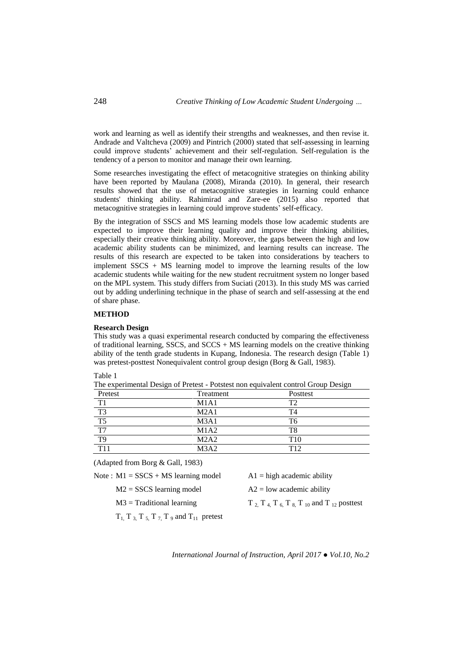work and learning as well as identify their strengths and weaknesses, and then revise it. Andrade and Valtcheva (2009) and Pintrich (2000) stated that self-assessing in learning could improve students' achievement and their self-regulation. Self-regulation is the tendency of a person to monitor and manage their own learning.

Some researches investigating the effect of metacognitive strategies on thinking ability have been reported by Maulana (2008), Miranda (2010). In general, their research results showed that the use of metacognitive strategies in learning could enhance students' thinking ability. Rahimirad and Zare-ee (2015) also reported that metacognitive strategies in learning could improve students' self-efficacy.

By the integration of SSCS and MS learning models those low academic students are expected to improve their learning quality and improve their thinking abilities, especially their creative thinking ability. Moreover, the gaps between the high and low academic ability students can be minimized, and learning results can increase. The results of this research are expected to be taken into considerations by teachers to implement SSCS + MS learning model to improve the learning results of the low academic students while waiting for the new student recruitment system no longer based on the MPL system. This study differs from Suciati (2013). In this study MS was carried out by adding underlining technique in the phase of search and self-assessing at the end of share phase.

## **METHOD**

## **Research Design**

This study was a quasi experimental research conducted by comparing the effectiveness of traditional learning, SSCS, and  $SCCS + MS$  learning models on the creative thinking ability of the tenth grade students in Kupang, Indonesia. The research design (Table 1) was pretest-posttest Nonequivalent control group design (Borg & Gall, 1983).

| The experimental Design of Freeder Totatest hon equivalent control Group Design |                               |                 |  |  |  |
|---------------------------------------------------------------------------------|-------------------------------|-----------------|--|--|--|
| Pretest                                                                         | Treatment                     | Posttest        |  |  |  |
| T1                                                                              | M <sub>1</sub> A <sub>1</sub> | T2              |  |  |  |
| T <sub>3</sub>                                                                  | M2A1                          | T4              |  |  |  |
| T <sub>5</sub>                                                                  | M3A1                          | Т6              |  |  |  |
| T7                                                                              | M1A2                          | T8              |  |  |  |
| T <sub>9</sub>                                                                  | M2A2                          | T <sub>10</sub> |  |  |  |
| T11                                                                             | M <sub>3</sub> A <sub>2</sub> | T <sub>12</sub> |  |  |  |
|                                                                                 |                               |                 |  |  |  |

Table 1

The experimental Design of Pretest - Potstest non equivalent control Group Design

(Adapted from Borg & Gall, 1983)

Note :  $M1 = SSCS + MS$  learning model  $A1 = high$  academic ability

 $M2 = SSCS$  learning model  $A2 = low$  academic ability

 $M3 =$  Traditional learning T <sub>2,</sub> T <sub>4,</sub> T <sub>6</sub>, T <sub>8</sub>, T <sub>10</sub> and T <sub>12</sub> posttest

 $T_1$ , T<sub>3</sub>, T<sub>5</sub>, T<sub>7</sub>, T<sub>9</sub> and T<sub>11</sub> pretest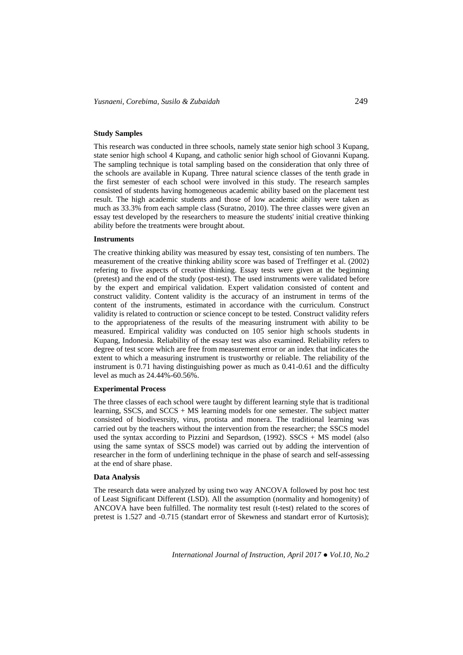## **Study Samples**

This research was conducted in three schools, namely state senior high school 3 Kupang, state senior high school 4 Kupang, and catholic senior high school of Giovanni Kupang. The sampling technique is total sampling based on the consideration that only three of the schools are available in Kupang. Three natural science classes of the tenth grade in the first semester of each school were involved in this study. The research samples consisted of students having homogeneous academic ability based on the placement test result. The high academic students and those of low academic ability were taken as much as 33.3% from each sample class (Suratno, 2010). The three classes were given an essay test developed by the researchers to measure the students' initial creative thinking ability before the treatments were brought about.

#### **Instruments**

The creative thinking ability was measured by essay test, consisting of ten numbers. The measurement of the creative thinking ability score was based of Treffinger et al. (2002) refering to five aspects of creative thinking. Essay tests were given at the beginning (pretest) and the end of the study (post-test). The used instruments were validated before by the expert and empirical validation. Expert validation consisted of content and construct validity. Content validity is the accuracy of an instrument in terms of the content of the instruments, estimated in accordance with the curriculum. Construct validity is related to contruction or science concept to be tested. Construct validity refers to the appropriateness of the results of the measuring instrument with ability to be measured. Empirical validity was conducted on 105 senior high schools students in Kupang, Indonesia. Reliability of the essay test was also examined. Reliability refers to degree of test score which are free from measurement error or an index that indicates the extent to which a measuring instrument is trustworthy or reliable. The reliability of the instrument is 0.71 having distinguishing power as much as 0.41-0.61 and the difficulty level as much as 24.44%-60.56%.

## **Experimental Process**

The three classes of each school were taught by different learning style that is traditional learning, SSCS, and SCCS + MS learning models for one semester. The subject matter consisted of biodivesrsity, virus, protista and monera. The traditional learning was carried out by the teachers without the intervention from the researcher; the SSCS model used the syntax according to Pizzini and Separdson, (1992). SSCS + MS model (also using the same syntax of SSCS model) was carried out by adding the intervention of researcher in the form of underlining technique in the phase of search and self-assessing at the end of share phase.

## **Data Analysis**

The research data were analyzed by using two way ANCOVA followed by post hoc test of Least Significant Different (LSD). All the assumption (normality and homogenity) of ANCOVA have been fulfilled. The normality test result (t-test) related to the scores of pretest is 1.527 and -0.715 (standart error of Skewness and standart error of Kurtosis);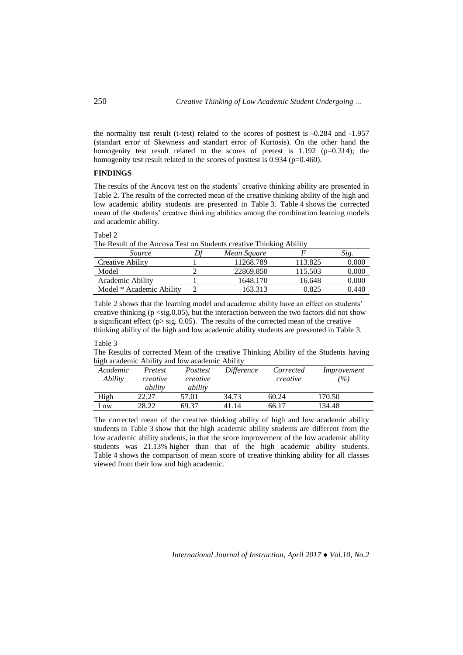the normality test result (t-test) related to the scores of posttest is -0.284 and -1.957 (standart error of Skewness and standart error of Kurtosis). On the other hand the homogenity test result related to the scores of pretest is  $1.192$  (p=0.314); the homogenity test result related to the scores of posttest is  $0.934$  (p=0.460).

## **FINDINGS**

The results of the Ancova test on the students' creative thinking ability are presented in Table 2. The results of the corrected mean of the creative thinking ability of the high and low academic ability students are presented in Table 3. Table 4 shows the corrected mean of the students' creative thinking abilities among the combination learning models and academic ability.

# Tabel 2

The Result of the Ancova Test on Students creative Thinking Ability

| Source                   | Mean Sauare |         |       |
|--------------------------|-------------|---------|-------|
| Creative Ability         | 11268.789   | 113.825 | 0.000 |
| Model                    | 22869.850   | 115.503 | 0.000 |
| Academic Ability         | 1648.170    | 16.648  | 0.000 |
| Model * Academic Ability | 163.313     | 0.825   | 0 440 |

Table 2 shows that the learning model and academic ability have an effect on students' creative thinking ( $p \leq$ sig.0.05), but the interaction between the two factors did not show a significant effect ( $p > sig. 0.05$ ). The results of the corrected mean of the creative thinking ability of the high and low academic ability students are presented in Table 3.

### Table 3

The Results of corrected Mean of the creative Thinking Ability of the Students having high academic Ability and low academic Ability

| Academic | Pretest  | Posttest | <i>Difference</i> | Corrected | Improvement |
|----------|----------|----------|-------------------|-----------|-------------|
| Ability  | creative | creative |                   | creative  | (%)         |
|          | ability  | ability  |                   |           |             |
| High     | 22.27    | 57.01    | 34.73             | 60.24     | 170.50      |
| Low      | 28.22    | 69.37    | 41.14             | 66.17     | 134.48      |

The corrected mean of the creative thinking ability of high and low academic ability students in Table 3 show that the high academic ability students are different from the low academic ability students, in that the score improvement of the low academic ability students was 21.13% higher than that of the high academic ability students. Table 4 shows the comparison of mean score of creative thinking ability for all classes viewed from their low and high academic.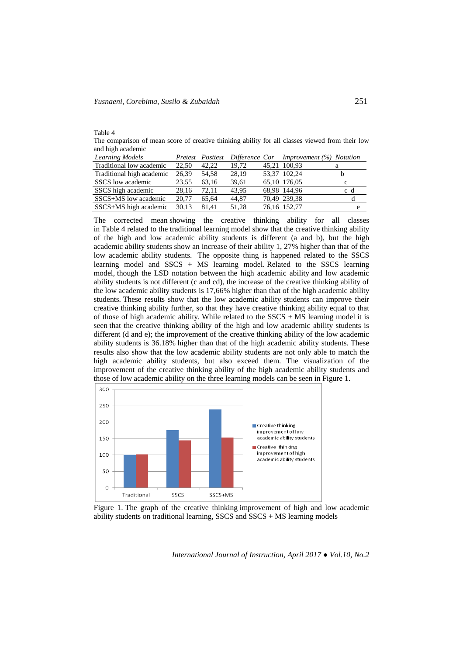Table 4

The comparison of mean score of creative thinking ability for all classes viewed from their low and high academic

| Learning Models           |       | Pretest Posttest | Difference Cor | <i>Improvement</i> (%) Notation |     |
|---------------------------|-------|------------------|----------------|---------------------------------|-----|
| Traditional low academic  | 22.50 | 42.22            | 19.72          | 45,21 100,93                    | a   |
| Traditional high academic | 26.39 | 54.58            | 28.19          | 53.37 102.24                    | n   |
| SSCS low academic         | 23.55 | 63.16            | 39.61          | 65,10 176,05                    | c   |
| SSCS high academic        | 28.16 | 72,11            | 43.95          | 68,98 144,96                    | c d |
| SSCS+MS low academic      | 20.77 | 65.64            | 44.87          | 70,49 239,38                    |     |
| SSCS+MS high academic     | 30.13 | 81.41            | 51.28          | 76.16 152.77                    | e   |

The corrected mean showing the creative thinking ability for all classes in Table 4 related to the traditional learning model show that the creative thinking ability of the high and low academic ability students is different (a and b), but the high academic ability students show an increase of their ability 1, 27% higher than that of the low academic ability students. The opposite thing is happened related to the SSCS learning model and  $SSCS + MS$  learning model. Related to the SSCS learning model, though the LSD notation between the high academic ability and low academic ability students is not different (c and cd), the increase of the creative thinking ability of the low academic ability students is 17,66% higher than that of the high academic ability students. These results show that the low academic ability students can improve their creative thinking ability further, so that they have creative thinking ability equal to that of those of high academic ability. While related to the  $SSCS + MS$  learning model it is seen that the creative thinking ability of the high and low academic ability students is different (d and e); the improvement of the creative thinking ability of the low academic ability students is 36.18% higher than that of the high academic ability students. These results also show that the low academic ability students are not only able to match the high academic ability students, but also exceed them. The visualization of the improvement of the creative thinking ability of the high academic ability students and those of low academic ability on the three learning models can be seen in Figure 1.



Figure 1. The graph of the creative thinking improvement of high and low academic ability students on traditional learning,  $SSCS$  and  $SSCS + MS$  learning models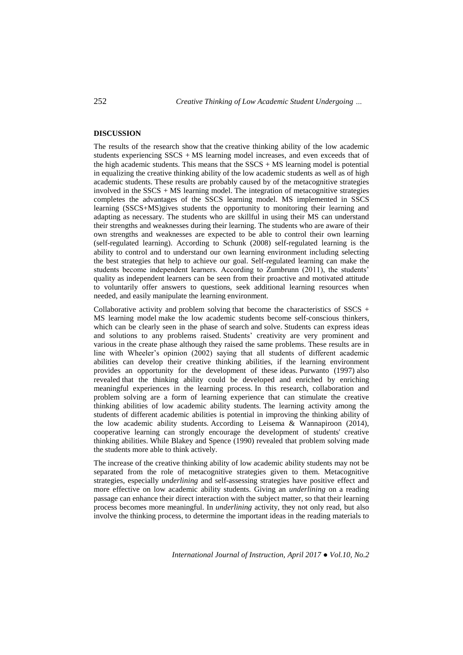## **DISCUSSION**

The results of the research show that the creative thinking ability of the low academic students experiencing SSCS + MS learning model increases, and even exceeds that of the high academic students. This means that the  $SSCS + MS$  learning model is potential in equalizing the creative thinking ability of the low academic students as well as of high academic students. These results are probably caused by of the metacognitive strategies involved in the  $SSCS + MS$  learning model. The integration of metacognitive strategies completes the advantages of the SSCS learning model. MS implemented in SSCS learning (SSCS+MS)gives students the opportunity to monitoring their learning and adapting as necessary. The students who are skillful in using their MS can understand their strengths and weaknesses during their learning. The students who are aware of their own strengths and weaknesses are expected to be able to control their own learning (self-regulated learning). According to Schunk (2008) self-regulated learning is the ability to control and to understand our own learning environment including selecting the best strategies that help to achieve our goal. Self-regulated learning can make the students become independent learners. According to Zumbrunn (2011), the students' quality as independent learners can be seen from their proactive and motivated attitude to voluntarily offer answers to questions, seek additional learning resources when needed, and easily manipulate the learning environment.

Collaborative activity and problem solving that become the characteristics of SSCS  $+$ MS learning model make the low academic students become self-conscious thinkers, which can be clearly seen in the phase of search and solve. Students can express ideas and solutions to any problems raised. Students' creativity are very prominent and various in the create phase although they raised the same problems. These results are in line with Wheeler's opinion (2002) saying that all students of different academic abilities can develop their creative thinking abilities, if the learning environment provides an opportunity for the development of these ideas. Purwanto (1997) also revealed that the thinking ability could be developed and enriched by enriching meaningful experiences in the learning process. In this research, collaboration and problem solving are a form of learning experience that can stimulate the creative thinking abilities of low academic ability students. The learning activity among the students of different academic abilities is potential in improving the thinking ability of the low academic ability students. According to Leisema & Wannapiroon (2014), cooperative learning can strongly encourage the development of students' creative thinking abilities. While Blakey and Spence (1990) revealed that problem solving made the students more able to think actively.

The increase of the creative thinking ability of low academic ability students may not be separated from the role of metacognitive strategies given to them. Metacognitive strategies, especially *underlining* and self-assessing strategies have positive effect and more effective on low academic ability students. Giving an *underlining* on a reading passage can enhance their direct interaction with the subject matter, so that their learning process becomes more meaningful. In *underlining* activity, they not only read, but also involve the thinking process, to determine the important ideas in the reading materials to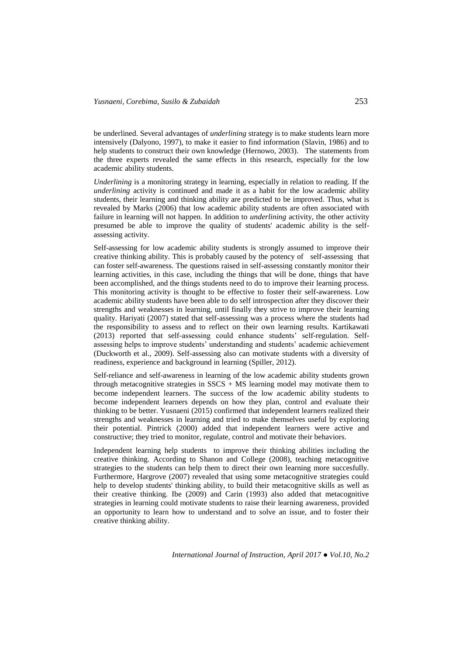be underlined. Several advantages of *underlining* strategy is to make students learn more intensively (Dalyono, 1997), to make it easier to find information (Slavin, 1986) and to help students to construct their own knowledge (Hernowo, 2003). The statements from the three experts revealed the same effects in this research, especially for the low academic ability students.

*Underlining* is a monitoring strategy in learning, especially in relation to reading. If the *underlining* activity is continued and made it as a habit for the low academic ability students, their learning and thinking ability are predicted to be improved. Thus, what is revealed by Marks (2006) that low academic ability students are often associated with failure in learning will not happen. In addition to *underlining* activity, the other activity presumed be able to improve the quality of students' academic ability is the selfassessing activity.

Self-assessing for low academic ability students is strongly assumed to improve their creative thinking ability. This is probably caused by the potency of self-assessing that can foster self-awareness. The questions raised in self-assessing constantly monitor their learning activities, in this case, including the things that will be done, things that have been accomplished, and the things students need to do to improve their learning process. This monitoring activity is thought to be effective to foster their self-awareness. Low academic ability students have been able to do self introspection after they discover their strengths and weaknesses in learning, until finally they strive to improve their learning quality. Hariyati (2007) stated that self-assessing was a process where the students had the responsibility to assess and to reflect on their own learning results. Kartikawati (2013) reported that self-assessing could enhance students' self-regulation. Selfassessing helps to improve students' understanding and students' academic achievement (Duckworth et al., 2009). Self-assessing also can motivate students with a diversity of readiness, experience and background in learning (Spiller, 2012).

Self-reliance and self-awareness in learning of the low academic ability students grown through metacognitive strategies in  $SSCS + MS$  learning model may motivate them to become independent learners. The success of the low academic ability students to become independent learners depends on how they plan, control and evaluate their thinking to be better. Yusnaeni (2015) confirmed that independent learners realized their strengths and weaknesses in learning and tried to make themselves useful by exploring their potential. Pintrick (2000) added that independent learners were active and constructive; they tried to monitor, regulate, control and motivate their behaviors.

Independent learning help students to improve their thinking abilities including the creative thinking. According to Shanon and College (2008), teaching metacognitive strategies to the students can help them to direct their own learning more succesfully. Furthermore, Hargrove (2007) revealed that using some metacognitive strategies could help to develop students' thinking ability, to build their metacognitive skills as well as their creative thinking. Ibe (2009) and Carin (1993) also added that metacognitive strategies in learning could motivate students to raise their learning awareness, provided an opportunity to learn how to understand and to solve an issue, and to foster their creative thinking ability.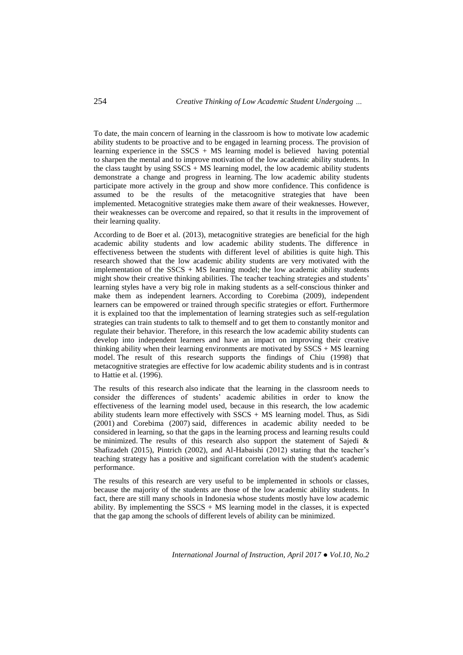To date, the main concern of learning in the classroom is how to motivate low academic ability students to be proactive and to be engaged in learning process. The provision of learning experience in the  $SSCS + MS$  learning model is believed having potential to sharpen the mental and to improve motivation of the low academic ability students. In the class taught by using  $SSCS + MS$  learning model, the low academic ability students demonstrate a change and progress in learning. The low academic ability students participate more actively in the group and show more confidence. This confidence is assumed to be the results of the metacognitive strategies that have been implemented. Metacognitive strategies make them aware of their weaknesses. However, their weaknesses can be overcome and repaired, so that it results in the improvement of their learning quality.

According to de Boer et al. (2013), metacognitive strategies are beneficial for the high academic ability students and low academic ability students. The difference in effectiveness between the students with different level of abilities is quite high. This research showed that the low academic ability students are very motivated with the implementation of the  $SSCS + MS$  learning model; the low academic ability students might show their creative thinking abilities. The teacher teaching strategies and students' learning styles have a very big role in making students as a self-conscious thinker and make them as independent learners. According to Corebima (2009), independent learners can be empowered or trained through specific strategies or effort. Furthermore it is explained too that the implementation of learning strategies such as self-regulation strategies can train students to talk to themself and to get them to constantly monitor and regulate their behavior. Therefore, in this research the low academic ability students can develop into independent learners and have an impact on improving their creative thinking ability when their learning environments are motivated by SSCS + MS learning model. The result of this research supports the findings of Chiu (1998) that metacognitive strategies are effective for low academic ability students and is in contrast to Hattie et al. (1996).

The results of this research also indicate that the learning in the classroom needs to consider the differences of students' academic abilities in order to know the effectiveness of the learning model used, because in this research, the low academic ability students learn more effectively with  $SSCS + MS$  learning model. Thus, as Sidi (2001) and Corebima (2007) said, differences in academic ability needed to be considered in learning, so that the gaps in the learning process and learning results could be minimized. The results of this research also support the statement of Sajedi & Shafizadeh (2015), Pintrich (2002), and Al-Habaishi (2012) stating that the teacher's teaching strategy has a positive and significant correlation with the student's academic performance.

The results of this research are very useful to be implemented in schools or classes, because the majority of the students are those of the low academic ability students. In fact, there are still many schools in Indonesia whose students mostly have low academic ability. By implementing the  $SSCS + MS$  learning model in the classes, it is expected that the gap among the schools of different levels of ability can be minimized.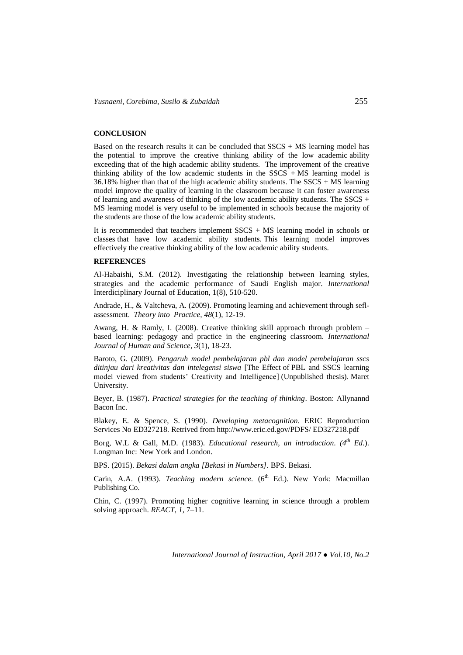## **CONCLUSION**

Based on the research results it can be concluded that  $SSCS + MS$  learning model has the potential to improve the creative thinking ability of the low academic ability exceeding that of the high academic ability students. The improvement of the creative thinking ability of the low academic students in the SSCS + MS learning model is 36.18% higher than that of the high academic ability students. The SSCS + MS learning model improve the quality of learning in the classroom because it can foster awareness of learning and awareness of thinking of the low academic ability students. The SSCS + MS learning model is very useful to be implemented in schools because the majority of the students are those of the low academic ability students.

It is recommended that teachers implement SSCS + MS learning model in schools or classes that have low academic ability students. This learning model improves effectively the creative thinking ability of the low academic ability students.

## **REFERENCES**

Al-Habaishi, S.M. (2012). Investigating the relationship between learning styles, strategies and the academic performance of Saudi English major. *International*  Interdiciplinary Journal of Education, 1(8), 510-520.

Andrade, H., & Valtcheva, A. (2009). Promoting learning and achievement through seflassessment. *Theory into Practice, 48*(1), 12-19.

Awang, H. & Ramly, I. (2008). Creative thinking skill approach through problem – based learning: pedagogy and practice in the engineering classroom. *International Journal of Human and Science, 3*(1), 18-23.

Baroto, G. (2009). *Pengaruh model pembelajaran pbl dan model pembelajaran sscs ditinjau dari kreativitas dan intelegensi siswa* [The Effect of PBL and SSCS learning model viewed from students' Creativity and Intelligence] (Unpublished thesis). Maret University.

Beyer, B. (1987). *Practical strategies for the teaching of thinking*. Boston: Allynannd Bacon Inc.

Blakey, E. & Spence, S. (1990). *Developing metacognition*. ERIC Reproduction Services No ED327218. Retrived from http://www.eric.ed.gov/PDFS/ ED327218.pdf

Borg, W.L & Gall, M.D. (1983). *Educational research, an introduction.* (4<sup>th</sup> Ed.). Longman Inc: New York and London.

BPS. (2015). *Bekasi dalam angka [Bekasi in Numbers].* BPS. Bekasi.

Carin, A.A. (1993). *Teaching modern science.* (6<sup>th</sup> Ed.). New York: Macmillan Publishing Co.

Chin, C. (1997). Promoting higher cognitive learning in science through a problem solving approach. *REACT, 1,* 7–11.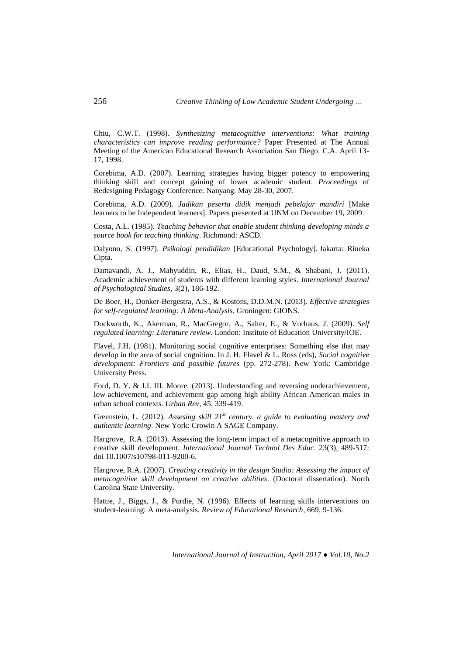Chiu, C.W.T. (1998). *Synthesizing metacognitive interventions: What training characteristics can improve reading performance?* Paper Presented at The Annual Meeting of the American Educational Research Association San Diego. C.A. April 13- 17, 1998.

Corebima, A.D. (2007). Learning strategies having bigger potency to empowering thinking skill and concept gaining of lower academic student. *Proceedings* of Redesigning Pedagogy Conference. Nanyang. May 28-30, 2007.

Corebima, A.D. (2009). *Jadikan peserta didik menjadi pebelajar mandiri* [Make learners to be Independent learners]. Papers presented at UNM on December 19, 2009.

Costa, A.L. (1985). *Teaching behavior that enable student thinking developing minds a source book for teaching thinking*. Richmond: ASCD.

Dalyono, S. (1997). *Psikologi pendidikan* [Educational Psychology]. Jakarta: Rineka Cipta.

Damavandi, A. J., Mahyuddin, R., Elias, H., Daud, S.M., & Shabani, J. (2011). Academic achievement of students with different learning styles. *International Journal of Psychological Studies*, 3(2), 186-192.

De Boer, H., Donker-Bergestra, A.S., & Kostons, D.D.M.N. (2013). *Effective strategies for self-regulated learning: A Meta-Analysis.* Groningen: GIONS.

Duckworth, K., Akerman, R., MacGregor, A., Salter, E., & Vorhaus, J. (2009). *Self regulated learning: Literature review.* London: Institute of Education University/IOE.

Flavel, J.H. (1981). Monitoring social cognitive enterprises: Something else that may develop in the area of social cognition. In J. H. Flavel & L. Ross (eds), *Social cognitive development: Frontiers and possible futures* (pp. 272-278). New York: Cambridge University Press.

Ford, D. Y. & J.L III. Moore. (2013). Understanding and reversing underachievement, low achievement, and achievement gap among high ability African American males in urban school contexts. *Urban Rev*, 45, 339-419.

Greenstein, L. (2012). *Assesing skill 21st century. a guide to evaluating mastery and authentic learning*. New York: Crowin A SAGE Company.

Hargrove, R.A. (2013). Assessing the long-term impact of a metacognitive approach to creative skill development. *International Journal Technol Des Educ*. 23(3), 489-517: doi 10.1007/s10798-011-9200-6.

Hargrove, R.A. (2007). *Creating creativity in the design Studio: Assessing the impact of metacognitive skill development on creative abilities*. (Doctoral dissertation). North Carolina State University.

Hattie, J., Biggs, J., & Purdie, N. (1996). Effects of learning skills interventions on student-learning: A meta-analysis. *Review of Educational Research*, 669, 9-136.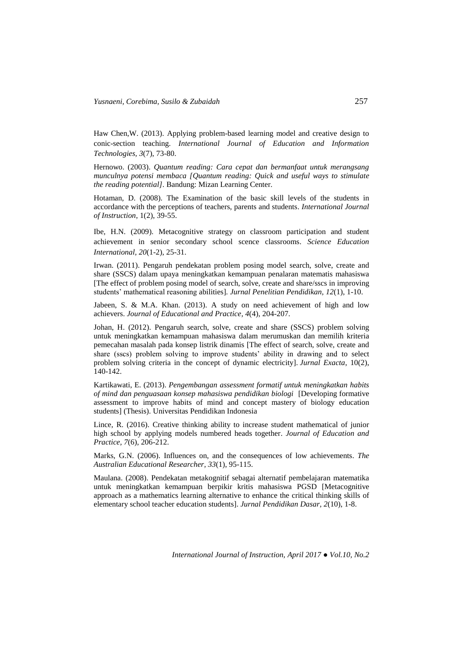Haw Chen,W. (2013). Applying problem-based learning model and creative design to conic-section teaching. *International Journal of Education and Information Technologies, 3*(7), 73-80.

Hernowo. (2003). *Quantum reading: Cara cepat dan bermanfaat untuk merangsang munculnya potensi membaca [Quantum reading: Quick and useful ways to stimulate the reading potential].* Bandung: Mizan Learning Center.

Hotaman, D. (2008). The Examination of the basic skill levels of the students in accordance with the perceptions of teachers, parents and students. *International Journal of Instruction*, 1(2), 39-55.

Ibe, H.N. (2009). Metacognitive strategy on classroom participation and student achievement in senior secondary school scence classrooms. *Science Education International, 20*(1-2), 25-31.

Irwan. (2011). Pengaruh pendekatan problem posing model search, solve, create and share (SSCS) dalam upaya meningkatkan kemampuan penalaran matematis mahasiswa [The effect of problem posing model of search, solve, create and share/sscs in improving students' mathematical reasoning abilities]*. Jurnal Penelitian Pendidikan, 12*(1), 1-10.

Jabeen, S. & M.A. Khan. (2013). A study on need achievement of high and low achievers. *Journal of Educational and Practice, 4*(4), 204-207.

Johan, H. (2012). Pengaruh search, solve, create and share (SSCS) problem solving untuk meningkatkan kemampuan mahasiswa dalam merumuskan dan memilih kriteria pemecahan masalah pada konsep listrik dinamis [The effect of search, solve, create and share (sscs) problem solving to improve students' ability in drawing and to select problem solving criteria in the concept of dynamic electricity]. *Jurnal Exacta*, 10(2), 140-142.

Kartikawati, E. (2013). *Pengembangan assessment formatif untuk meningkatkan habits of mind dan penguasaan konsep mahasiswa pendidikan biologi* [Developing formative assessment to improve habits of mind and concept mastery of biology education students] (Thesis). Universitas Pendidikan Indonesia

Lince, R. (2016). Creative thinking ability to increase student mathematical of junior high school by applying models numbered heads together. *Journal of Education and Practice, 7*(6), 206-212.

Marks, G.N. (2006). Influences on, and the consequences of low achievements. *The Australian Educational Researcher, 33*(1), 95-115.

Maulana. (2008). Pendekatan metakognitif sebagai alternatif pembelajaran matematika untuk meningkatkan kemampuan berpikir kritis mahasiswa PGSD [Metacognitive approach as a mathematics learning alternative to enhance the critical thinking skills of elementary school teacher education students]. *Jurnal Pendidikan Dasar, 2*(10), 1-8.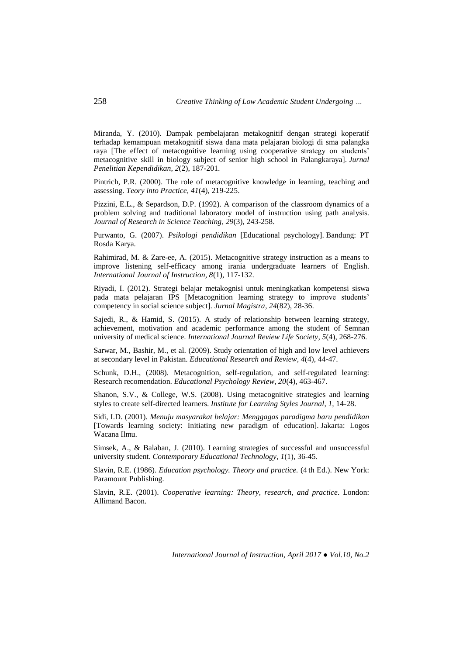Miranda, Y. (2010). Dampak pembelajaran metakognitif dengan strategi koperatif terhadap kemampuan metakognitif siswa dana mata pelajaran biologi di sma palangka raya [The effect of metacognitive learning using cooperative strategy on students' metacognitive skill in biology subject of senior high school in Palangkaraya]. *Jurnal Penelitian Kependidikan, 2*(2), 187-201.

Pintrich, P.R. (2000). The role of metacognitive knowledge in learning, teaching and assessing. *Teory into Practice, 41*(4), 219-225.

Pizzini, E.L., & Separdson, D.P. (1992). A comparison of the classroom dynamics of a problem solving and traditional laboratory model of instruction using path analysis. *Journal of Research in Science Teaching, 29*(3), 243-258.

Purwanto, G. (2007). *Psikologi pendidikan* [Educational psychology]. Bandung: PT Rosda Karya.

Rahimirad, M. & Zare-ee, A. (2015). Metacognitive strategy instruction as a means to improve listening self-efficacy among irania undergraduate learners of English. *International Journal of Instruction, 8*(1), 117-132.

Riyadi, I. (2012). Strategi belajar metakognisi untuk meningkatkan kompetensi siswa pada mata pelajaran IPS [Metacognition learning strategy to improve students' competency in social science subject]. *Jurnal Magistra, 24*(82), 28-36.

Sajedi, R., & Hamid, S. (2015). A study of relationship between learning strategy, achievement, motivation and academic performance among the student of Semnan university of medical science. *International Journal Review Life Society, 5*(4), 268-276.

Sarwar, M., Bashir, M., et al. (2009). Study orientation of high and low level achievers at secondary level in Pakistan. *Educational Research and Review, 4*(4), 44-47.

Schunk, D.H., (2008). Metacognition, self-regulation, and self-regulated learning: Research recomendation. *Educational Psychology Review, 20*(4), 463-467.

Shanon, S.V., & College, W.S. (2008). Using metacognitive strategies and learning styles to create self-directed learners. *Institute for Learning Styles Journal, 1,* 14-28.

Sidi, I.D. (2001). *Menuju masyarakat belajar: Menggagas paradigma baru pendidikan*  [Towards learning society: Initiating new paradigm of education]. Jakarta: Logos Wacana Ilmu.

Simsek, A., & Balaban, J. (2010). Learning strategies of successful and unsuccessful university student. *Contemporary Educational Technology, 1*(1), 36-45.

Slavin, R.E. (1986). *Education psychology. Theory and practice.* (4 th Ed.). New York: Paramount Publishing.

Slavin, R.E. (2001). *Cooperative learning: Theory, research, and practice*. London: Allimand Bacon.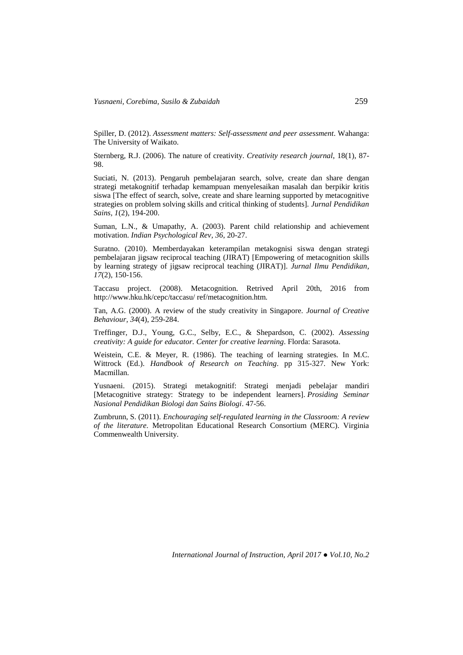Spiller, D. (2012). *Assessment matters: Self-assessment and peer assessment*. Wahanga: The University of Waikato.

Sternberg, R.J. (2006). The nature of creativity. *Creativity research journal*, 18(1), 87- 98.

Suciati, N. (2013). Pengaruh pembelajaran search, solve, create dan share dengan strategi metakognitif terhadap kemampuan menyelesaikan masalah dan berpikir kritis siswa [The effect of search, solve, create and share learning supported by metacognitive strategies on problem solving skills and critical thinking of students]. *Jurnal Pendidikan Sains, 1*(2), 194-200.

Suman, L.N., & Umapathy, A. (2003). Parent child relationship and achievement motivation. *Indian Psychological Rev, 36*, 20-27.

Suratno. (2010). Memberdayakan keterampilan metakognisi siswa dengan strategi pembelajaran jigsaw reciprocal teaching (JIRAT) [Empowering of metacognition skills by learning strategy of jigsaw reciprocal teaching (JIRAT)]. *Jurnal Ilmu Pendidikan, 17*(2), 150-156.

Taccasu project. (2008). Metacognition. Retrived April 20th, 2016 from [http://www.hku.hk/cepc/taccasu/ ref/metacognition.htm.](http://www.hku.hk/cepc/taccasu/%20ref/metacognition.htm.)

Tan, A.G. (2000). A review of the study creativity in Singapore. *Journal of Creative Behaviour, 34*(4), 259-284.

Treffinger, D.J., Young, G.C., Selby, E.C., & Shepardson, C. (2002). *Assessing creativity: A guide for educator. Center for creative learning*. Florda: Sarasota.

Weistein, C.E. & Meyer, R. (1986). The teaching of learning strategies*.* In M.C. Wittrock (Ed.). *Handbook of Research on Teaching*. pp 315-327. New York: Macmillan.

Yusnaeni. (2015). Strategi metakognitif: Strategi menjadi pebelajar mandiri [Metacognitive strategy: Strategy to be independent learners]. *Prosiding Seminar Nasional Pendidikan Biologi dan Sains Biologi*. 47-56.

Zumbrunn, S. (2011)*. Enchouraging self-regulated learning in the Classroom: A review of the literature*. Metropolitan Educational Research Consortium (MERC). Virginia Commenwealth University.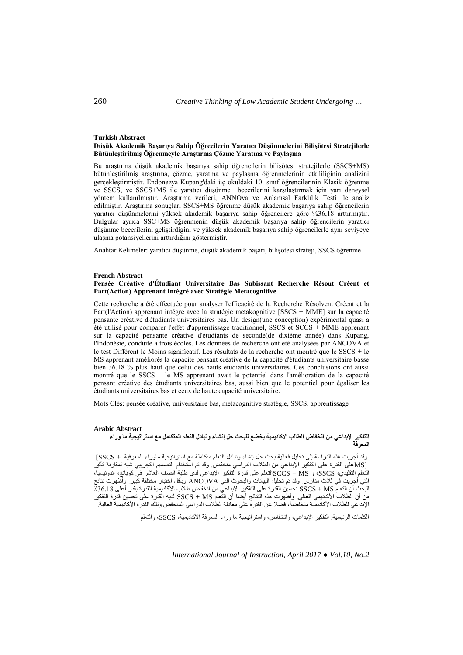#### **Turkish Abstract**

#### **Düşük Akademik Başarıya Sahip Öğrecilerin Yaratıcı Düşünmelerini Bilişötesi Stratejilerle Bütünleştirilmiş Öğrenmeyle Araştırma Çözme Yaratma ve Paylaşma**

Bu araştırma düşük akademik başarıya sahip öğrencilerin bilişötesi stratejilerle (SSCS+MS) bütünleştirilmiş araştırma, çözme, yaratma ve paylaşma öğrenmelerinin etkililiğinin analizini gerçekleştirmiştir. Endonezya Kupang'daki üç okuldaki 10. sınıf öğrencilerinin Klasik öğrenme ve SSCS, ve SSCS+MS ile yaratıcı düşünme becerilerini karşılaştırmak için yarı deneysel yöntem kullanılmıştır. Araştırma verileri, ANNOva ve Anlamsal Farklılık Testi ile analiz edilmiştir. Araştırma sonuçları SSCS+MS öğrenme düşük akademik başarıya sahip öğrencilerin yaratıcı düşünmelerini yüksek akademik başarıya sahip öğrencilere göre %36,18 arttırmıştır. Bulgular ayrıca SSC+MS öğrenmenin düşük akademik başarıya sahip öğrencilerin yaratıcı düşünme becerilerini geliştirdiğini ve yüksek akademik başarıya sahip öğrencilerle aynı seviyeye ulaşma potansiyellerini arttırdığını göstermiştir.

Anahtar Kelimeler: yaratıcı düşünme, düşük akademik başarı, bilişötesi strateji, SSCS öğrenme

### **French Abstract**

#### **Pensée Créative d'Étudiant Universitaire Bas Subissant Recherche Résout Créent et Part(Action) Apprenant Intégré avec Stratégie Metacognitive**

Cette recherche a été effectuée pour analyser l'efficacité de la Recherche Résolvent Créent et la Part(l'Action) apprenant intégré avec la stratégie metakognitive [SSCS + MME] sur la capacité pensante créative d'étudiants universitaires bas. Un design(une conception) expérimental quasi a été utilisé pour comparer l'effet d'apprentissage traditionnel, SSCS et SCCS + MME apprenant sur la capacité pensante créative d'étudiants de seconde(de dixième année) dans Kupang, l'Indonésie, conduite à trois écoles. Les données de recherche ont été analysées par ANCOVA et le test Différent le Moins significatif. Les résultats de la recherche ont montré que le SSCS + le MS apprenant améliorés la capacité pensant créative de la capacité d'étudiants universitaire basse bien 36.18 % plus haut que celui des hauts étudiants universitaires. Ces conclusions ont aussi montré que le SSCS + le MS apprenant avait le potentiel dans l'amélioration de la capacité pensant créative des étudiants universitaires bas, aussi bien que le potentiel pour égaliser les étudiants universitaires bas et ceux de haute capacité universitaire.

Mots Clés: pensée créative, universitaire bas, metacognitive stratégie, SSCS, apprentissage

#### **Arabic Abstract**

#### **التفكير اإلبداعي من انخفاض الطالب األكاديمية يخضع للبحث حل إنشاء وتبادل التعلم المتكامل مع استراتيجية ما وراء المعرفة**

وقد أجريت هذه الدراسة إلى تحليل فعالية بحث حل إنشاء وتبادل التعلم متكاملة مع استراتيجية ماوراء المعرفية + SSCS[ [MSعلى القدرة على التفكير اإلبداعي من الطالب الدراسي منخفض. وقد تم استخدام التصميم التجريبي شبه لمقارنة تأثير التعلم التقليدي، SSCS، و MS + SCCSالتعلم على قدرة التفكير اإلبداعي لدى طلبة الصف العاشر في كوبانغ، إندونيسيا، التي أجريت في ثالث مدارس. وقد تم تحليل البيانات والبحوث التي ANCOVA وبأقل اختبار مختلفة كبير. وأظهرت نتائج البحث أن التعلم MS + SSCS تحسين القدرة على التفكير اإلبداعي من انخفاض طالب األكاديمية القدرة بقدر أعلى ٪81.63 من أن الطالب األكاديمي العالي. وأظهرت هذه النتائج أيضا أن التعلم MS + SSCS لديه القدرة على تحسين قدرة التفكير الإبداعي للطلاب الأكاديمية منخفضة، فضلا عن القدرة على معادلة الطلاب الدراسي المنخفض وتلك القدرة الأكاديمية العالية.

الكلمات الرئيسية: التفكير اإلبداعي، وانخفاض، واستراتيجية ما وراء المعرفة األكاديمية، SSCS، والتعلم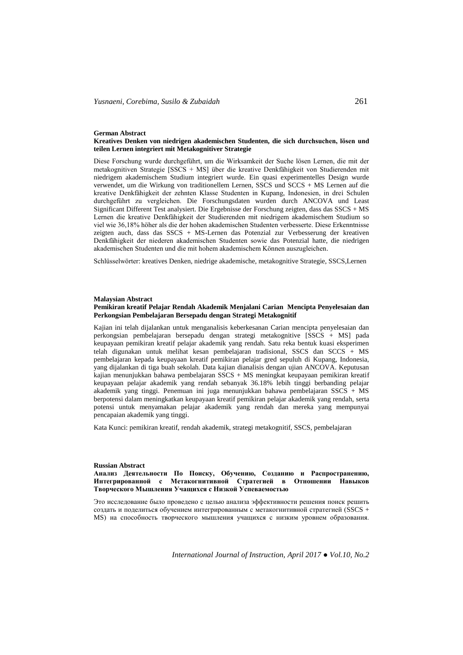#### **German Abstract**

#### **Kreatives Denken von niedrigen akademischen Studenten, die sich durchsuchen, lösen und teilen Lernen integriert mit Metakognitiver Strategie**

Diese Forschung wurde durchgeführt, um die Wirksamkeit der Suche lösen Lernen, die mit der metakognitiven Strategie [SSCS + MS] über die kreative Denkfähigkeit von Studierenden mit niedrigem akademischem Studium integriert wurde. Ein quasi experimentelles Design wurde verwendet, um die Wirkung von traditionellem Lernen, SSCS und SCCS + MS Lernen auf die kreative Denkfähigkeit der zehnten Klasse Studenten in Kupang, Indonesien, in drei Schulen durchgeführt zu vergleichen. Die Forschungsdaten wurden durch ANCOVA und Least Significant Different Test analysiert. Die Ergebnisse der Forschung zeigten, dass das SSCS + MS Lernen die kreative Denkfähigkeit der Studierenden mit niedrigem akademischem Studium so viel wie 36,18% höher als die der hohen akademischen Studenten verbesserte. Diese Erkenntnisse zeigten auch, dass das SSCS + MS-Lernen das Potenzial zur Verbesserung der kreativen Denkfähigkeit der niederen akademischen Studenten sowie das Potenzial hatte, die niedrigen akademischen Studenten und die mit hohem akademischem Können auszugleichen.

Schlüsselwörter: kreatives Denken, niedrige akademische, metakognitive Strategie, SSCS,Lernen

#### **Malaysian Abstract**

## **Pemikiran kreatif Pelajar Rendah Akademik Menjalani Carian Mencipta Penyelesaian dan Perkongsian Pembelajaran Bersepadu dengan Strategi Metakognitif**

Kajian ini telah dijalankan untuk menganalisis keberkesanan Carian mencipta penyelesaian dan perkongsian pembelajaran bersepadu dengan strategi metakognitive [SSCS + MS] pada keupayaan pemikiran kreatif pelajar akademik yang rendah. Satu reka bentuk kuasi eksperimen telah digunakan untuk melihat kesan pembelajaran tradisional, SSCS dan SCCS + MS pembelajaran kepada keupayaan kreatif pemikiran pelajar gred sepuluh di Kupang, Indonesia, yang dijalankan di tiga buah sekolah. Data kajian dianalisis dengan ujian ANCOVA. Keputusan kajian menunjukkan bahawa pembelajaran SSCS + MS meningkat keupayaan pemikiran kreatif keupayaan pelajar akademik yang rendah sebanyak 36.18% lebih tinggi berbanding pelajar akademik yang tinggi. Penemuan ini juga menunjukkan bahawa pembelajaran SSCS + MS berpotensi dalam meningkatkan keupayaan kreatif pemikiran pelajar akademik yang rendah, serta potensi untuk menyamakan pelajar akademik yang rendah dan mereka yang mempunyai pencapaian akademik yang tinggi.

Kata Kunci: pemikiran kreatif, rendah akademik, strategi metakognitif, SSCS, pembelajaran

### **Russian Abstract**

#### **Анализ Деятельности По Поиску, Обучению, Созданию и Распространению, Интегрированной с Метакогнитивной Стратегией в Отношении Навыков Творческого Мышления Учащихся с Низкой Успеваемостью**

Это исследование было проведено с целью анализа эффективности решения поиск решить создать и поделиться обучением интегрированным с метакогнитивной стратегией (SSCS + MS) на способность творческого мышления учащихся с низким уровнем образования.